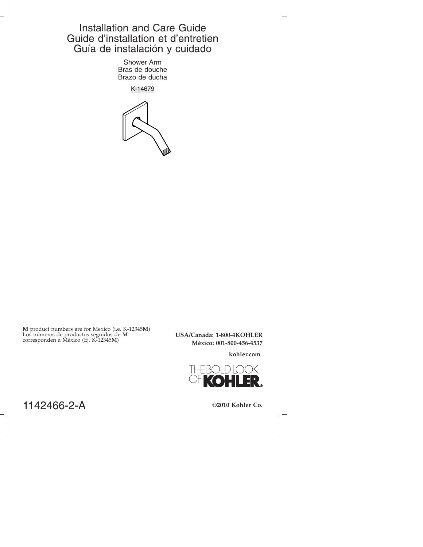# Installation and Care Guide Guide d'installation et d'entretien Guía de instalación y cuidado

Shower Arm Bras de douche Brazo de ducha

K-14679



**M** product numbers are for Mexico (i.e. K-12345**M**) Los números de productos seguidos de **M** corresponden a México (Ej. K-12345**M**)

**USA/Canada: 1-800-4KOHLER México: 001-800-456-4537**

**kohler.com**



1142466-2-A

**©2010 Kohler Co.**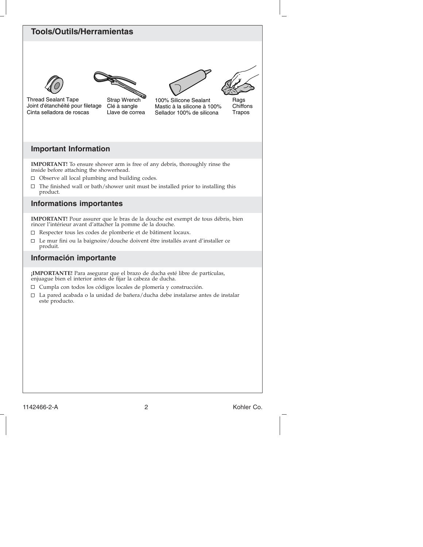## **Tools/Outils/Herramientas**





Llave de correa Thread Sealant Tape Joint d'étanchéité pour filetage Cinta selladora de roscas

Strap Wrench Clé à sangle

100% Silicone Sealant Mastic à la silicone à 100% Sellador 100% de silicona

Rags **Chiffons** Trapos

## **Important Information**

**IMPORTANT!** To ensure shower arm is free of any debris, thoroughly rinse the inside before attaching the showerhead.

- $\Box$  Observe all local plumbing and building codes.
- $\Box$ The finished wall or bath/shower unit must be installed prior to installing this product.

## **Informations importantes**

**IMPORTANT!** Pour assurer que le bras de la douche est exempt de tous débris, bien rincer l'intérieur avant d'attacher la pomme de la douche.

- Respecter tous les codes de plomberie et de bâtiment locaux.
- $\Box$ Le mur fini ou la baignoire/douche doivent être installés avant d'installer ce produit.

## **Información importante**

**¡IMPORTANTE!** Para asegurar que el brazo de ducha esté libre de partículas, enjuague bien el interior antes de fijar la cabeza de ducha.

- Cumpla con todos los códigos locales de plomería y construcción.
- $\Box$ La pared acabada o la unidad de bañera/ducha debe instalarse antes de instalar este producto.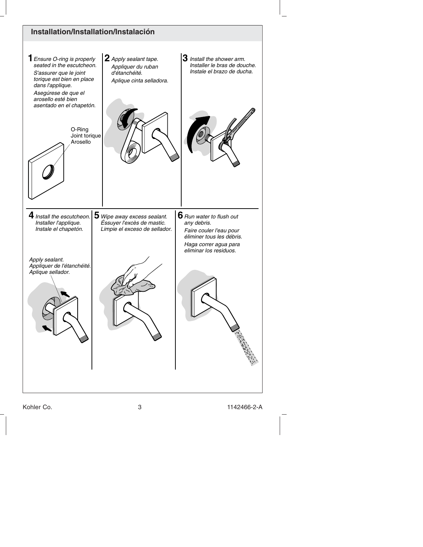

Kohler Co. 3 1142466-2-A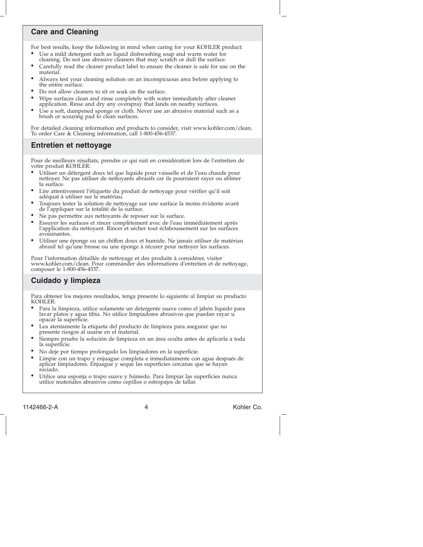## **Care and Cleaning**

For best results, keep the following in mind when caring for your KOHLER product:

- Use a mild detergent such as liquid dishwashing soap and warm water for cleaning. Do not use abrasive cleaners that may scratch or dull the surface.
- Carefully read the cleaner product label to ensure the cleaner is safe for use on the material.
- Always test your cleaning solution on an inconspicuous area before applying to the entire surface.
- Do not allow cleaners to sit or soak on the surface.
- Wipe surfaces clean and rinse completely with water immediately after cleaner application. Rinse and dry any overspray that lands on nearby surfaces.
- Use a soft, dampened sponge or cloth. Never use an abrasive material such as a brush or scouring pad to clean surfaces.

For detailed cleaning information and products to consider, visit www.kohler.com/clean. To order Care & Cleaning information, call 1-800-456-4537.

## **Entretien et nettoyage**

Pour de meilleurs résultats, prendre ce qui suit en considération lors de l'entretien de votre produit KOHLER:

- Utiliser un détergent doux tel que liquide pour vaisselle et de l'eau chaude pour nettoyer. Ne pas utiliser de nettoyants abrasifs car ils pourraient rayer ou abîmer la surface.
- Lire attentivement l'étiquette du produit de nettoyage pour vérifier qu'il soit adéquat à utiliser sur le matériau
- Toujours tester la solution de nettoyage sur une surface la moins évidente avant de l'appliquer sur la totalité de la surface.
- Ne pas permettre aux nettoyants de reposer sur la surface.
- Essuyer les surfaces et rincer complètement avec de l'eau immédiatement après l'application du nettoyant. Rincer et sécher tout éclaboussement sur les surfaces avoisinantes.
- Utiliser une éponge ou un chiffon doux et humide. Ne jamais utiliser de matériau abrasif tel qu'une brosse ou une éponge à récurer pour nettoyer les surfaces.

Pour l'information détaillée de nettoyage et des produits à considérer, visiter www.kohler.com/clean. Pour commander des informations d'entretien et de nettoyage, composer le 1-800-456-4537.

## **Cuidado y limpieza**

Para obtener los mejores resultados, tenga presente lo siguiente al limpiar su producto KOHLER:

- Para la limpieza, utilice solamente un detergente suave como el jabón líquido para lavar platos y agua tibia. No utilice limpiadores abrasivos que puedan rayar u opacar la superficie.
- Lea atentamente la etiqueta del producto de limpieza para asegurar que no presente riesgos al usarse en el material.
- Siempre pruebe la solución de limpieza en un área oculta antes de aplicarla a toda la superficie.
- No deje por tiempo prolongado los limpiadores en la superficie.
- Limpie con un trapo y enjuague completa e inmediatamente con agua después de aplicar limpiadores. Enjuague y seque las superficies cercanas que se hayan rociado.
- Utilice una esponja o trapo suave y húmedo. Para limpiar las superficies nunca utilice materiales abrasivos como cepillos o estropajos de tallar.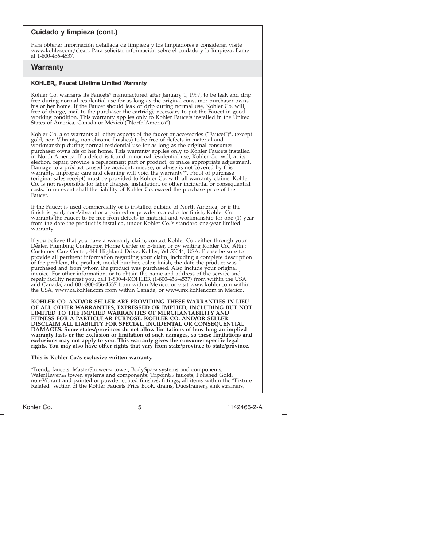### **Cuidado y limpieza (cont.)**

Para obtener información detallada de limpieza y los limpiadores a considerar, visite www.kohler.com/clean. Para solicitar información sobre el cuidado y la limpieza, llame al 1-800-456-4537.

#### **Warranty**

#### **KOHLER® Faucet Lifetime Limited Warranty**

Kohler Co. warrants its Faucets\* manufactured after January 1, 1997, to be leak and drip free during normal residential use for as long as the original consumer purchaser owns his or her home. If the Faucet should leak or drip during normal use, Kohler Co. will,<br>free of charge, mail to the purchaser the cartridge necessary to put the Faucet in good<br>working condition. This warranty applies only t

Kohler Co. also warrants all other aspects of the faucet or accessories ("Faucet")\*, (except gold, non-Vibrant<sub>®</sub>, non-chrome finishes) to be free of defects in material and workmanship during normal residential use for as long as the original consumer purchaser owns his or her home. This warranty applies only to Kohler Faucets installed in North America. If a defect is found in normal residential use, Kohler Co. will, at its election, repair, provide a replacement part or product, or make appropriate adjustment. Damage to a product caused by accident, misuse, or abuse is not covered by this warranty. Improper care and cleaning will void the warranty\*\*. Proof of purchase<br>(original sales receipt) must be provided to Kohler Co. with all warranty claims. Kohler<br>Co. is not responsible for labor charges, installati costs. In no event shall the liability of Kohler Co. exceed the purchase price of the Faucet.

If the Faucet is used commercially or is installed outside of North America, or if the finish is gold, non-Vibrant or a painted or powder coated color finish, Kohler Co. warrants the Faucet to be free from defects in material and workmanship for one (1) year from the date the product is installed, under Kohler Co.'s standard one-year limited warranty.

If you believe that you have a warranty claim, contact Kohler Co., either through your Dealer, Plumbing Contractor, Home Center or E-tailer, or by writing Kohler Co., Attn.: Customer Care Center, 444 Highland Drive, Kohler, WI 53044, USA. Please be sure to provide all pertinent information regarding your claim, including a complete description of the problem, the product, model number, color, finish, the date the product was purchased and from whom the product was purchased. Also include your original invoice. For other information, or to obtain the name and address of the service and repair facility nearest you, call 1-800-4-KOHLER (1-800-456-4537) from within the USA and Canada, and 001-800-456-4537 from within Mexico, or visit www.kohler.com within the USA, www.ca.kohler.com from within Canada, or www.mx.kohler.com in Mexico.

**KOHLER CO. AND/OR SELLER ARE PROVIDING THESE WARRANTIES IN LIEU OF ALL OTHER WARRANTIES, EXPRESSED OR IMPLIED, INCLUDING BUT NOT LIMITED TO THE IMPLIED WARRANTIES OF MERCHANTABILITY AND FITNESS FOR A PARTICULAR PURPOSE. KOHLER CO. AND/OR SELLER DISCLAIM ALL LIABILITY FOR SPECIAL, INCIDENTAL OR CONSEQUENTIAL DAMAGES. Some states/provinces do not allow limitations of how long an implied warranty lasts or the exclusion or limitation of such damages, so these limitations and exclusions may not apply to you. This warranty gives the consumer specific legal rights. You may also have other rights that vary from state/province to state/province.**

#### **This is Kohler Co.'s exclusive written warranty.**

\*Trend<sub>®</sub> faucets, MasterShower™ tower, BodySpa™ systems and components;<br>WaterHaven™ tower, systems and components; Tripoint™ faucets, Polished Gold, non-Vibrant and painted or powder coated finishes, fittings; all items within the ″Fixture Related" section of the Kohler Faucets Price Book, drains, Duostrainer® sink strainers,

Kohler Co. 5 1142466-2-A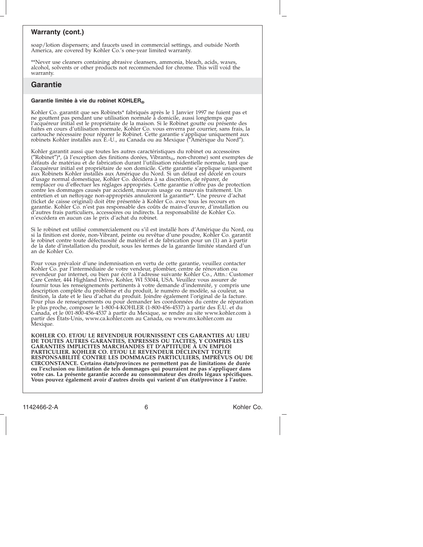#### **Warranty (cont.)**

soap/lotion dispensers; and faucets used in commercial settings, and outside North America, are covered by Kohler Co.'s one-year limited warranty.

\*\*Never use cleaners containing abrasive cleansers, ammonia, bleach, acids, waxes, alcohol, solvents or other products not recommended for chrome. This will void the warranty.

### **Garantie**

#### Garantie limitée à vie du robinet KOHLER®

Kohler Co. garantit que ses Robinets\* fabriqués après le 1 Janvier 1997 ne fuient pas et ne gouttent pas pendant une utilisation normale à domicile, aussi longtemps que l'acquéreur initial est le propriétaire de la maison. Si le Robinet goutte ou présente des fuites en cours d'utilisation normale, Kohler Co. vous enverra par courrier, sans frais, la cartouche nécessaire pour réparer le Robinet. Cette garantie s'applique uniquement aux robinets Kohler installés aux É.-U., au Canada ou au Mexique (″Amérique du Nord″).

Kohler garantit aussi que toutes les autres caractéristiques du robinet ou accessoires ("Robinet")\*, (à l'exception des finitions dorées, Vibrants<sub>®</sub>, non-chrome) sont exemptes de<br>défauts de matériau et de fabrication durant l'utilisation résidentielle normale, tant que l'acquéreur initial est propriétaire de son domicile. Cette garantie s'applique uniquement aux Robinets Kohler installés aux Amérique du Nord. Si un défaut est décelé en cours d'usage normal domestique, Kohler Co. décidera à sa discrétion, de réparer, de<br>remplacer ou d'effectuer les réglages appropriés. Cette garantie n'offre pas de protection<br>reontre les dommages causés par accident, mauvais us garantie. Kohler Co. n'est pas responsable des coûts de main-d'œuvre, d'installation ou d'autres frais particuliers, accessoires ou indirects. La responsabilité de Kohler Co. n'excédera en aucun cas le prix d'achat du robinet.

Si le robinet est utilisé commercialement ou s'il est installé hors d'Amérique du Nord, ou si la finition est dorée, non-Vibrant, peinte ou revêtue d'une poudre, Kohler Co. garantit le robinet contre toute défectuosité de matériel et de fabrication pour un (1) an à partir de la date d'installation du produit, sous les termes de la garantie limitée standard d'un an de Kohler Co.

Pour vous prévaloir d'une indemnisation en vertu de cette garantie, veuillez contacter Kohler Co. par l'intermédiaire de votre vendeur, plombier, centre de rénovation ou revendeur par internet, ou bien par écrit à l'adresse suivante Kohler Co., Attn.: Customer Care Center, 444 Highland Drive, Kohler, WI 53044, USA. Veuillez vous assurer de fournir tous les renseignements pertinents à votre demande d'indemnité, y compris une description complète du problème et du produit, le numéro de modèle, sa couleur, sa finition, la date et le lieu d'achat du produit. Joindre également l'original de la facture. Pour plus de renseignements ou pour demander les coordonnées du centre de réparation le plus proche, composer le 1-800-4-KOHLER (1-800-456-4537) à partir des É.U. et du Canada, et le 001-800-456-4537 à partir du Mexique, se rendre au site www.kohler.com à partir des États-Unis, www.ca.kohler.com au Canada, ou www.mx.kohler.com au Mexique.

**KOHLER CO. ET/OU LE REVENDEUR FOURNISSENT CES GARANTIES AU LIEU DE TOUTES AUTRES GARANTIES, EXPRESSES OU TACITES, Y COMPRIS LES GARANTIES IMPLICITES MARCHANDES ET D'APTITUDE À UN EMPLOI PARTICULIER. KOHLER CO. ET/OU LE REVENDEUR DÉCLINENT TOUTE RESPONSABILITÉ CONTRE LES DOMMAGES PARTICULIERS, IMPRÉVUS OU DE** CIRCONSTANCE. Certains états/provinces ne permettent pas de limitations de durée<br>ou l'exclusion ou limitation de tels dommages qui pourraient ne pas s'appliquer dans<br>votre cas. La présente garantie accorde au consommateur **Vous pouvez également avoir d'autres droits qui varient d'un état/province à l'autre.**

1142466-2-A 6 Kohler Co.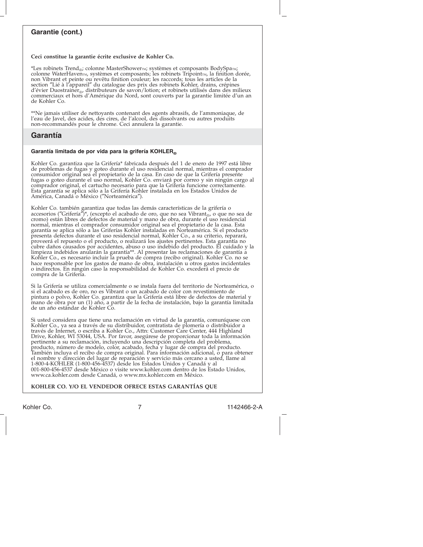### **Garantie (cont.)**

#### **Ceci constitue la garantie écrite exclusive de Kohler Co.**

\*Les robinets Trend®; colonne MasterShowerm; systèmes et composants BodySpam; colonne WaterHaven<sub>TM</sub>, systèmes et composants; les robinets Tripoint<sub>IM</sub>, la finition dorée, non Vibrant et peinte ou revêtu finition couleur; les raccords; tous les articles de la section ″Lié à l'appareil″ du catalogue des prix des robinets Kohler, drains, crépines d'évier Duostrainer<sub>®</sub>, distributeurs de savon/lotion; et robinets utilisés dans des milieux commerciaux et hors d'Amérique du Nord, sont couverts par la garantie limitée d'un an de Kohler Co.

\*\*Ne jamais utiliser de nettoyants contenant des agents abrasifs, de l'ammoniaque, de l'eau de Javel, des acides, des cires, de l'alcool, des dissolvants ou autres produits non-recommandés pour le chrome. Ceci annulera la garantie.

#### **Garantía**

#### **Garantía limitada de por vida para la grifería KOHLER®**

Kohler Co. garantiza que la Grifería\* fabricada después del 1 de enero de 1997 está libre de problemas de fugas y goteo durante el uso residencial normal, mientras el comprador consumidor original sea el propietario de la casa. En caso de que la Grifería presente fugas o goteo durante el uso normal, Kohler Co. enviará por correo y sin ningún cargo al comprador original, el cartucho necesario para que la Grifería funcione correctamente. Esta garantía se aplica sólo a la Grifería Kohler instalada en los Estados Unidos de América, Canadá o México (″Norteamérica″).

Kohler Co. también garantiza que todas las demás características de la grifería o<br>accesorios ("Grifería")\*, (excepto el acabado de oro, que no sea Vibrant<sub>®</sub>, o que no sea de<br>cromo) están libres de defectos de material y m garantía se aplica sólo a las Griferías Kohler instaladas en Norteamérica. Si el producto presenta defectos durante el uso residencial normal, Kohler Co., a su criterio, reparará, proveerá el repuesto o el producto, o realizará los ajustes pertinentes. Esta garantía no<br>cubre daños causados por accidentes, abuso o uso indebido del producto. El cuidado y la<br>limpieza indebidos anularán la garantía\*\*. A hace responsable por los gastos de mano de obra, instalación u otros gastos incidentales o indirectos. En ningún caso la responsabilidad de Kohler Co. excederá el precio de compra de la Grifería.

Si la Grifería se utiliza comercialmente o se instala fuera del territorio de Norteamérica, o si el acabado es de oro, no es Vibrant o un acabado de color con revestimiento de pintura o polvo, Kohler Co. garantiza que la Grifería está libre de defectos de material y mano de obra por un (1) año, a partir de la fecha de instalación, bajo la garantía limitada de un año estándar de Kohler Co.

Si usted considera que tiene una reclamación en virtud de la garantía, comuníquese con Kohler Co., ya sea a través de su distribuidor, contratista de plomería o distribuidor a<br>través de Internet, o escriba a Kohler Co., Attn: Customer Care Center, 444 Highland<br>Drive, Kohler, WI 53044, USA. Por favor, asegúre pertinente a su reclamación, incluyendo una descripción completa del problema, producto, número de modelo, color, acabado, fecha y lugar de compra del producto. También incluya el recibo de compra original. Para información adicional, o para obtener el nombre y dirección del lugar de reparación y servicio más cercano a usted, llame al 1-800-4-KOHLER (1-800-456-4537) desde los Estados Unidos y Canadá y al 001-800-456-4537 desde México o visite www.kohler.com dentro de los Estado Unidos, www.ca.kohler.com desde Canadá, o www.mx.kohler.com en México.

#### **KOHLER CO. Y/O EL VENDEDOR OFRECE ESTAS GARANTÍAS QUE**

Kohler Co. 7 1142466-2-A